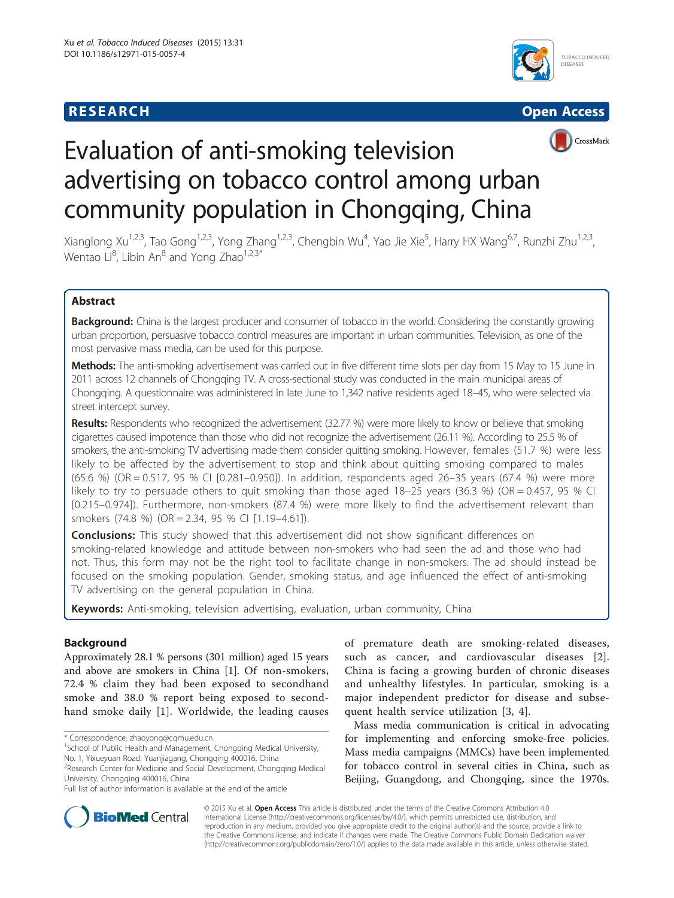## **RESEARCH RESEARCH** *CHECKER CHECKER CHECKER CHECKER CHECKER CHECKER CHECKER CHECKER CHECKER CHECKER CHECKER*







# Evaluation of anti-smoking television advertising on tobacco control among urban community population in Chongqing, China

Xianglong Xu<sup>1,2,3</sup>, Tao Gong<sup>1,2,3</sup>, Yong Zhang<sup>1,2,3</sup>, Chengbin Wu<sup>4</sup>, Yao Jie Xie<sup>5</sup>, Harry HX Wang<sup>6,7</sup>, Runzhi Zhu<sup>1,2,3</sup>, Wentao Li<sup>8</sup>, Libin An<sup>8</sup> and Yong Zhao<sup>1,2,3\*</sup>

## Abstract

Background: China is the largest producer and consumer of tobacco in the world. Considering the constantly growing urban proportion, persuasive tobacco control measures are important in urban communities. Television, as one of the most pervasive mass media, can be used for this purpose.

Methods: The anti-smoking advertisement was carried out in five different time slots per day from 15 May to 15 June in 2011 across 12 channels of Chongqing TV. A cross-sectional study was conducted in the main municipal areas of Chongqing. A questionnaire was administered in late June to 1,342 native residents aged 18–45, who were selected via street intercept survey.

Results: Respondents who recognized the advertisement (32.77 %) were more likely to know or believe that smoking cigarettes caused impotence than those who did not recognize the advertisement (26.11 %). According to 25.5 % of smokers, the anti-smoking TV advertising made them consider quitting smoking. However, females (51.7 %) were less likely to be affected by the advertisement to stop and think about quitting smoking compared to males (65.6 %) (OR = 0.517, 95 % CI [0.281–0.950]). In addition, respondents aged 26–35 years (67.4 %) were more likely to try to persuade others to quit smoking than those aged 18–25 years (36.3 %) (OR = 0.457, 95 % CI [0.215–0.974]). Furthermore, non-smokers (87.4 %) were more likely to find the advertisement relevant than smokers (74.8 %) (OR = 2.34, 95 % CI [1.19–4.61]).

**Conclusions:** This study showed that this advertisement did not show significant differences on smoking-related knowledge and attitude between non-smokers who had seen the ad and those who had not. Thus, this form may not be the right tool to facilitate change in non-smokers. The ad should instead be focused on the smoking population. Gender, smoking status, and age influenced the effect of anti-smoking TV advertising on the general population in China.

Keywords: Anti-smoking, television advertising, evaluation, urban community, China

## Background

Approximately 28.1 % persons (301 million) aged 15 years and above are smokers in China [[1](#page-11-0)]. Of non-smokers, 72.4 % claim they had been exposed to secondhand smoke and 38.0 % report being exposed to secondhand smoke daily [[1\]](#page-11-0). Worldwide, the leading causes

of premature death are smoking-related diseases, such as cancer, and cardiovascular diseases [[2](#page-11-0)]. China is facing a growing burden of chronic diseases and unhealthy lifestyles. In particular, smoking is a major independent predictor for disease and subsequent health service utilization [[3](#page-11-0), [4\]](#page-11-0).

Mass media communication is critical in advocating for implementing and enforcing smoke-free policies. Mass media campaigns (MMCs) have been implemented for tobacco control in several cities in China, such as Beijing, Guangdong, and Chongqing, since the 1970s.



© 2015 Xu et al. Open Access This article is distributed under the terms of the Creative Commons Attribution 4.0 International License [\(http://creativecommons.org/licenses/by/4.0/](http://creativecommons.org/licenses/by/4.0/)), which permits unrestricted use, distribution, and reproduction in any medium, provided you give appropriate credit to the original author(s) and the source, provide a link to the Creative Commons license, and indicate if changes were made. The Creative Commons Public Domain Dedication waiver [\(http://creativecommons.org/publicdomain/zero/1.0/](http://creativecommons.org/publicdomain/zero/1.0/)) applies to the data made available in this article, unless otherwise stated.

<sup>\*</sup> Correspondence: [zhaoyong@cqmu.edu.cn](mailto:zhaoyong@cqmu.edu.cn) <sup>1</sup>

<sup>&</sup>lt;sup>1</sup> School of Public Health and Management, Chongqing Medical University, No. 1, Yixueyuan Road, Yuanjiagang, Chongqing 400016, China

<sup>&</sup>lt;sup>2</sup> Research Center for Medicine and Social Development, Chongqing Medical University, Chongqing 400016, China

Full list of author information is available at the end of the article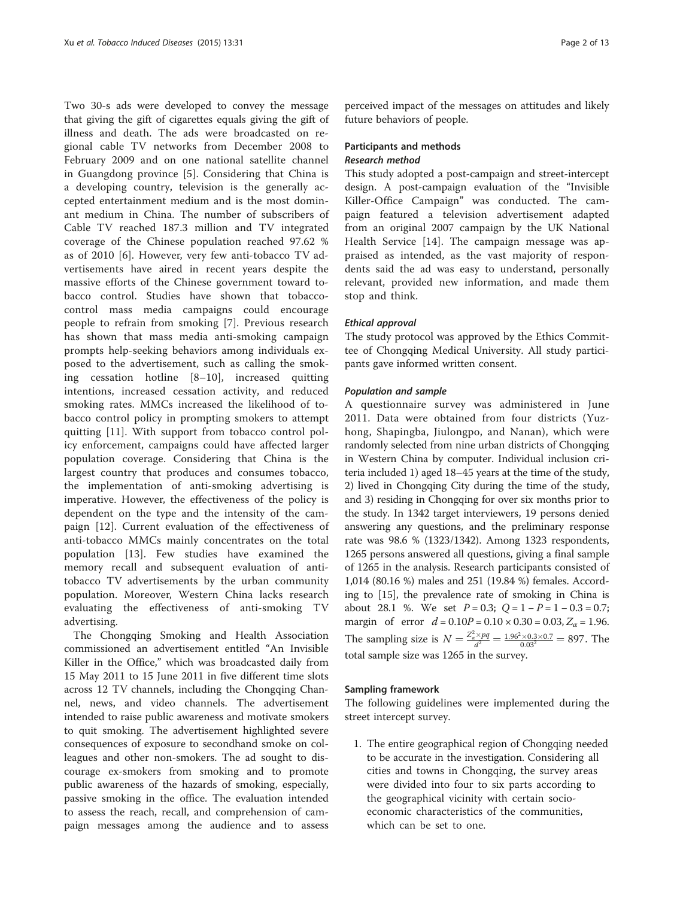Two 30-s ads were developed to convey the message that giving the gift of cigarettes equals giving the gift of illness and death. The ads were broadcasted on regional cable TV networks from December 2008 to February 2009 and on one national satellite channel in Guangdong province [[5](#page-11-0)]. Considering that China is a developing country, television is the generally accepted entertainment medium and is the most dominant medium in China. The number of subscribers of Cable TV reached 187.3 million and TV integrated coverage of the Chinese population reached 97.62 % as of 2010 [\[6](#page-11-0)]. However, very few anti-tobacco TV advertisements have aired in recent years despite the massive efforts of the Chinese government toward tobacco control. Studies have shown that tobaccocontrol mass media campaigns could encourage people to refrain from smoking [[7\]](#page-11-0). Previous research has shown that mass media anti-smoking campaign prompts help-seeking behaviors among individuals exposed to the advertisement, such as calling the smoking cessation hotline [\[8](#page-11-0)–[10](#page-11-0)], increased quitting intentions, increased cessation activity, and reduced smoking rates. MMCs increased the likelihood of tobacco control policy in prompting smokers to attempt quitting [[11](#page-11-0)]. With support from tobacco control policy enforcement, campaigns could have affected larger population coverage. Considering that China is the largest country that produces and consumes tobacco, the implementation of anti-smoking advertising is imperative. However, the effectiveness of the policy is dependent on the type and the intensity of the campaign [[12\]](#page-11-0). Current evaluation of the effectiveness of anti-tobacco MMCs mainly concentrates on the total population [[13\]](#page-11-0). Few studies have examined the memory recall and subsequent evaluation of antitobacco TV advertisements by the urban community population. Moreover, Western China lacks research evaluating the effectiveness of anti-smoking TV advertising.

The Chongqing Smoking and Health Association commissioned an advertisement entitled "An Invisible Killer in the Office," which was broadcasted daily from 15 May 2011 to 15 June 2011 in five different time slots across 12 TV channels, including the Chongqing Channel, news, and video channels. The advertisement intended to raise public awareness and motivate smokers to quit smoking. The advertisement highlighted severe consequences of exposure to secondhand smoke on colleagues and other non-smokers. The ad sought to discourage ex-smokers from smoking and to promote public awareness of the hazards of smoking, especially, passive smoking in the office. The evaluation intended to assess the reach, recall, and comprehension of campaign messages among the audience and to assess perceived impact of the messages on attitudes and likely future behaviors of people.

## Participants and methods Research method

This study adopted a post-campaign and street-intercept design. A post-campaign evaluation of the "Invisible Killer-Office Campaign" was conducted. The campaign featured a television advertisement adapted from an original 2007 campaign by the UK National Health Service [[14\]](#page-11-0). The campaign message was appraised as intended, as the vast majority of respondents said the ad was easy to understand, personally relevant, provided new information, and made them stop and think.

#### Ethical approval

The study protocol was approved by the Ethics Committee of Chongqing Medical University. All study participants gave informed written consent.

#### Population and sample

A questionnaire survey was administered in June 2011. Data were obtained from four districts (Yuzhong, Shapingba, Jiulongpo, and Nanan), which were randomly selected from nine urban districts of Chongqing in Western China by computer. Individual inclusion criteria included 1) aged 18–45 years at the time of the study, 2) lived in Chongqing City during the time of the study, and 3) residing in Chongqing for over six months prior to the study. In 1342 target interviewers, 19 persons denied answering any questions, and the preliminary response rate was 98.6 % (1323/1342). Among 1323 respondents, 1265 persons answered all questions, giving a final sample of 1265 in the analysis. Research participants consisted of 1,014 (80.16 %) males and 251 (19.84 %) females. According to [\[15](#page-11-0)], the prevalence rate of smoking in China is about 28.1 %. We set  $P = 0.3$ ;  $Q = 1 - P = 1 - 0.3 = 0.7$ ; margin of error  $d = 0.10P = 0.10 \times 0.30 = 0.03, Z_\alpha = 1.96$ . The sampling size is  $N = \frac{Z_a^2 \times pq}{d^2} = \frac{1.96^2 \times 0.3 \times 0.7}{0.03^2} = 897$ . The total sample size was 1265 in the survey.

#### Sampling framework

The following guidelines were implemented during the street intercept survey.

1. The entire geographical region of Chongqing needed to be accurate in the investigation. Considering all cities and towns in Chongqing, the survey areas were divided into four to six parts according to the geographical vicinity with certain socioeconomic characteristics of the communities, which can be set to one.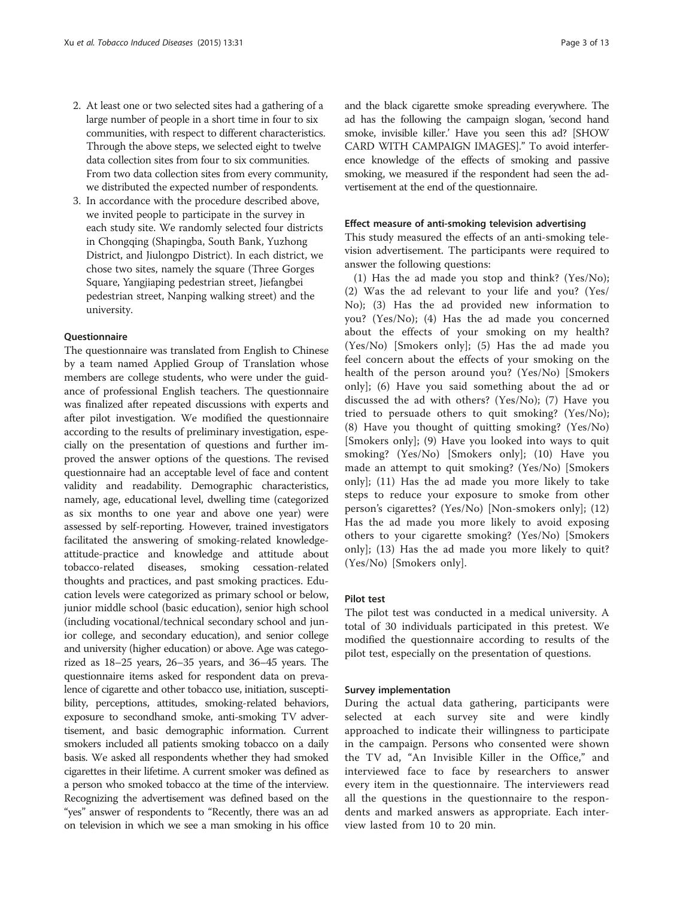- 2. At least one or two selected sites had a gathering of a large number of people in a short time in four to six communities, with respect to different characteristics. Through the above steps, we selected eight to twelve data collection sites from four to six communities. From two data collection sites from every community, we distributed the expected number of respondents.
- 3. In accordance with the procedure described above, we invited people to participate in the survey in each study site. We randomly selected four districts in Chongqing (Shapingba, South Bank, Yuzhong District, and Jiulongpo District). In each district, we chose two sites, namely the square (Three Gorges Square, Yangjiaping pedestrian street, Jiefangbei pedestrian street, Nanping walking street) and the university.

## **Ouestionnaire**

The questionnaire was translated from English to Chinese by a team named Applied Group of Translation whose members are college students, who were under the guidance of professional English teachers. The questionnaire was finalized after repeated discussions with experts and after pilot investigation. We modified the questionnaire according to the results of preliminary investigation, especially on the presentation of questions and further improved the answer options of the questions. The revised questionnaire had an acceptable level of face and content validity and readability. Demographic characteristics, namely, age, educational level, dwelling time (categorized as six months to one year and above one year) were assessed by self-reporting. However, trained investigators facilitated the answering of smoking-related knowledgeattitude-practice and knowledge and attitude about tobacco-related diseases, smoking cessation-related thoughts and practices, and past smoking practices. Education levels were categorized as primary school or below, junior middle school (basic education), senior high school (including vocational/technical secondary school and junior college, and secondary education), and senior college and university (higher education) or above. Age was categorized as 18–25 years, 26–35 years, and 36–45 years. The questionnaire items asked for respondent data on prevalence of cigarette and other tobacco use, initiation, susceptibility, perceptions, attitudes, smoking-related behaviors, exposure to secondhand smoke, anti-smoking TV advertisement, and basic demographic information. Current smokers included all patients smoking tobacco on a daily basis. We asked all respondents whether they had smoked cigarettes in their lifetime. A current smoker was defined as a person who smoked tobacco at the time of the interview. Recognizing the advertisement was defined based on the "yes" answer of respondents to "Recently, there was an ad on television in which we see a man smoking in his office

and the black cigarette smoke spreading everywhere. The ad has the following the campaign slogan, 'second hand smoke, invisible killer.' Have you seen this ad? [SHOW CARD WITH CAMPAIGN IMAGES]." To avoid interference knowledge of the effects of smoking and passive smoking, we measured if the respondent had seen the advertisement at the end of the questionnaire.

#### Effect measure of anti-smoking television advertising

This study measured the effects of an anti-smoking television advertisement. The participants were required to answer the following questions:

(1) Has the ad made you stop and think? (Yes/No); (2) Was the ad relevant to your life and you? (Yes/ No); (3) Has the ad provided new information to you? (Yes/No); (4) Has the ad made you concerned about the effects of your smoking on my health? (Yes/No) [Smokers only]; (5) Has the ad made you feel concern about the effects of your smoking on the health of the person around you? (Yes/No) [Smokers only]; (6) Have you said something about the ad or discussed the ad with others? (Yes/No); (7) Have you tried to persuade others to quit smoking? (Yes/No); (8) Have you thought of quitting smoking? (Yes/No) [Smokers only]; (9) Have you looked into ways to quit smoking? (Yes/No) [Smokers only]; (10) Have you made an attempt to quit smoking? (Yes/No) [Smokers only]; (11) Has the ad made you more likely to take steps to reduce your exposure to smoke from other person's cigarettes? (Yes/No) [Non-smokers only]; (12) Has the ad made you more likely to avoid exposing others to your cigarette smoking? (Yes/No) [Smokers only]; (13) Has the ad made you more likely to quit? (Yes/No) [Smokers only].

## Pilot test

The pilot test was conducted in a medical university. A total of 30 individuals participated in this pretest. We modified the questionnaire according to results of the pilot test, especially on the presentation of questions.

#### Survey implementation

During the actual data gathering, participants were selected at each survey site and were kindly approached to indicate their willingness to participate in the campaign. Persons who consented were shown the TV ad, "An Invisible Killer in the Office," and interviewed face to face by researchers to answer every item in the questionnaire. The interviewers read all the questions in the questionnaire to the respondents and marked answers as appropriate. Each interview lasted from 10 to 20 min.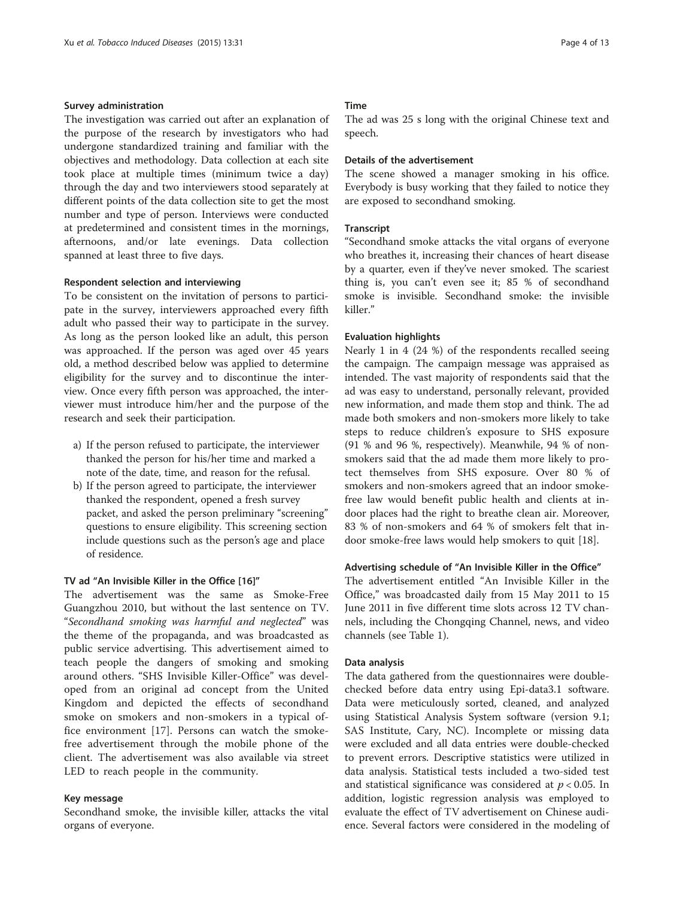#### Survey administration

The investigation was carried out after an explanation of the purpose of the research by investigators who had undergone standardized training and familiar with the objectives and methodology. Data collection at each site took place at multiple times (minimum twice a day) through the day and two interviewers stood separately at different points of the data collection site to get the most number and type of person. Interviews were conducted at predetermined and consistent times in the mornings, afternoons, and/or late evenings. Data collection spanned at least three to five days.

#### Respondent selection and interviewing

To be consistent on the invitation of persons to participate in the survey, interviewers approached every fifth adult who passed their way to participate in the survey. As long as the person looked like an adult, this person was approached. If the person was aged over 45 years old, a method described below was applied to determine eligibility for the survey and to discontinue the interview. Once every fifth person was approached, the interviewer must introduce him/her and the purpose of the research and seek their participation.

- a) If the person refused to participate, the interviewer thanked the person for his/her time and marked a note of the date, time, and reason for the refusal.
- b) If the person agreed to participate, the interviewer thanked the respondent, opened a fresh survey packet, and asked the person preliminary "screening" questions to ensure eligibility. This screening section include questions such as the person's age and place of residence.

## TV ad "An Invisible Killer in the Office [\[16](#page-11-0)]"

The advertisement was the same as Smoke-Free Guangzhou 2010, but without the last sentence on TV. "Secondhand smoking was harmful and neglected" was the theme of the propaganda, and was broadcasted as public service advertising. This advertisement aimed to teach people the dangers of smoking and smoking around others. "SHS Invisible Killer-Office" was developed from an original ad concept from the United Kingdom and depicted the effects of secondhand smoke on smokers and non-smokers in a typical office environment [[17\]](#page-11-0). Persons can watch the smokefree advertisement through the mobile phone of the client. The advertisement was also available via street LED to reach people in the community.

#### Key message

Secondhand smoke, the invisible killer, attacks the vital organs of everyone.

#### Time

The ad was 25 s long with the original Chinese text and speech.

## Details of the advertisement

The scene showed a manager smoking in his office. Everybody is busy working that they failed to notice they are exposed to secondhand smoking.

## **Transcript**

"Secondhand smoke attacks the vital organs of everyone who breathes it, increasing their chances of heart disease by a quarter, even if they've never smoked. The scariest thing is, you can't even see it; 85 % of secondhand smoke is invisible. Secondhand smoke: the invisible killer."

### Evaluation highlights

Nearly 1 in 4 (24 %) of the respondents recalled seeing the campaign. The campaign message was appraised as intended. The vast majority of respondents said that the ad was easy to understand, personally relevant, provided new information, and made them stop and think. The ad made both smokers and non-smokers more likely to take steps to reduce children's exposure to SHS exposure (91 % and 96 %, respectively). Meanwhile, 94 % of nonsmokers said that the ad made them more likely to protect themselves from SHS exposure. Over 80 % of smokers and non-smokers agreed that an indoor smokefree law would benefit public health and clients at indoor places had the right to breathe clean air. Moreover, 83 % of non-smokers and 64 % of smokers felt that indoor smoke-free laws would help smokers to quit [\[18](#page-11-0)].

#### Advertising schedule of "An Invisible Killer in the Office"

The advertisement entitled "An Invisible Killer in the Office," was broadcasted daily from 15 May 2011 to 15 June 2011 in five different time slots across 12 TV channels, including the Chongqing Channel, news, and video channels (see Table 1).

#### Data analysis

The data gathered from the questionnaires were doublechecked before data entry using Epi-data3.1 software. Data were meticulously sorted, cleaned, and analyzed using Statistical Analysis System software (version 9.1; SAS Institute, Cary, NC). Incomplete or missing data were excluded and all data entries were double-checked to prevent errors. Descriptive statistics were utilized in data analysis. Statistical tests included a two-sided test and statistical significance was considered at  $p < 0.05$ . In addition, logistic regression analysis was employed to evaluate the effect of TV advertisement on Chinese audience. Several factors were considered in the modeling of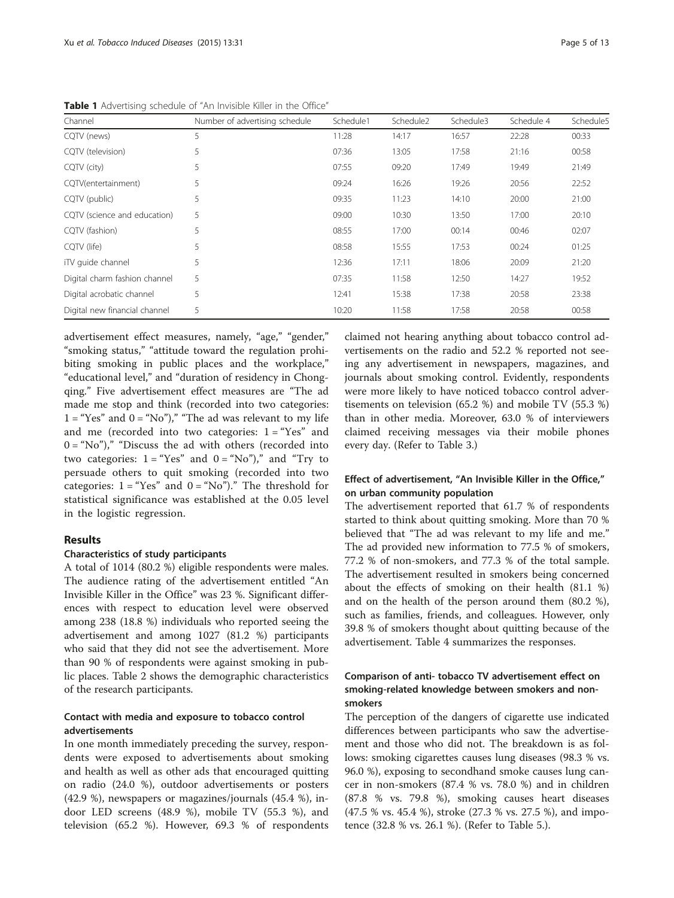| Channel                       | Number of advertising schedule | Schedule1 | Schedule2 | Schedule3 | Schedule 4 | Schedule5 |
|-------------------------------|--------------------------------|-----------|-----------|-----------|------------|-----------|
| CQTV (news)                   | 5                              | 11:28     | 14:17     | 16:57     | 22:28      | 00:33     |
| CQTV (television)             | 5                              | 07:36     | 13:05     | 17:58     | 21:16      | 00:58     |
| CQTV (city)                   | 5                              | 07:55     | 09:20     | 17:49     | 19:49      | 21:49     |
| CQTV(entertainment)           | 5                              | 09:24     | 16:26     | 19:26     | 20:56      | 22:52     |
| CQTV (public)                 | 5                              | 09:35     | 11:23     | 14:10     | 20:00      | 21:00     |
| CQTV (science and education)  | 5                              | 09:00     | 10:30     | 13:50     | 17:00      | 20:10     |
| CQTV (fashion)                | 5                              | 08:55     | 17:00     | 00:14     | 00:46      | 02:07     |
| CQTV (life)                   | 5                              | 08:58     | 15:55     | 17:53     | 00:24      | 01:25     |
| iTV quide channel             | 5                              | 12:36     | 17:11     | 18:06     | 20:09      | 21:20     |
| Digital charm fashion channel | 5                              | 07:35     | 11:58     | 12:50     | 14:27      | 19:52     |
| Digital acrobatic channel     | 5                              | 12:41     | 15:38     | 17:38     | 20:58      | 23:38     |
| Digital new financial channel | 5                              | 10:20     | 11:58     | 17:58     | 20:58      | 00:58     |

**Table 1** Advertising schedule of "An Invisible Killer in the Office"

advertisement effect measures, namely, "age," "gender," "smoking status," "attitude toward the regulation prohibiting smoking in public places and the workplace," "educational level," and "duration of residency in Chongqing." Five advertisement effect measures are "The ad made me stop and think (recorded into two categories:  $1 = "Yes"$  and  $0 = "No"$ ," "The ad was relevant to my life and me (recorded into two categories:  $1 = "Yes"$  and  $0 = "No", "Discuss the ad with others (recorded into$ two categories:  $1 = "Yes"$  and  $0 = "No"$ ," and "Try to persuade others to quit smoking (recorded into two categories:  $1 = "Yes"$  and  $0 = "No"$ ." The threshold for statistical significance was established at the 0.05 level in the logistic regression.

## Results

## Characteristics of study participants

A total of 1014 (80.2 %) eligible respondents were males. The audience rating of the advertisement entitled "An Invisible Killer in the Office" was 23 %. Significant differences with respect to education level were observed among 238 (18.8 %) individuals who reported seeing the advertisement and among 1027 (81.2 %) participants who said that they did not see the advertisement. More than 90 % of respondents were against smoking in public places. Table [2](#page-5-0) shows the demographic characteristics of the research participants.

## Contact with media and exposure to tobacco control advertisements

In one month immediately preceding the survey, respondents were exposed to advertisements about smoking and health as well as other ads that encouraged quitting on radio (24.0 %), outdoor advertisements or posters (42.9 %), newspapers or magazines/journals (45.4 %), indoor LED screens (48.9 %), mobile TV (55.3 %), and television (65.2 %). However, 69.3 % of respondents claimed not hearing anything about tobacco control advertisements on the radio and 52.2 % reported not seeing any advertisement in newspapers, magazines, and journals about smoking control. Evidently, respondents were more likely to have noticed tobacco control advertisements on television (65.2 %) and mobile TV (55.3 %) than in other media. Moreover, 63.0 % of interviewers claimed receiving messages via their mobile phones every day. (Refer to Table [3.](#page-5-0))

## Effect of advertisement, "An Invisible Killer in the Office," on urban community population

The advertisement reported that 61.7 % of respondents started to think about quitting smoking. More than 70 % believed that "The ad was relevant to my life and me." The ad provided new information to 77.5 % of smokers, 77.2 % of non-smokers, and 77.3 % of the total sample. The advertisement resulted in smokers being concerned about the effects of smoking on their health (81.1 %) and on the health of the person around them (80.2 %), such as families, friends, and colleagues. However, only 39.8 % of smokers thought about quitting because of the advertisement. Table [4](#page-6-0) summarizes the responses.

## Comparison of anti- tobacco TV advertisement effect on smoking-related knowledge between smokers and nonsmokers

The perception of the dangers of cigarette use indicated differences between participants who saw the advertisement and those who did not. The breakdown is as follows: smoking cigarettes causes lung diseases (98.3 % vs. 96.0 %), exposing to secondhand smoke causes lung cancer in non-smokers (87.4 % vs. 78.0 %) and in children (87.8 % vs. 79.8 %), smoking causes heart diseases (47.5 % vs. 45.4 %), stroke (27.3 % vs. 27.5 %), and impotence (32.8 % vs. 26.1 %). (Refer to Table [5](#page-7-0).).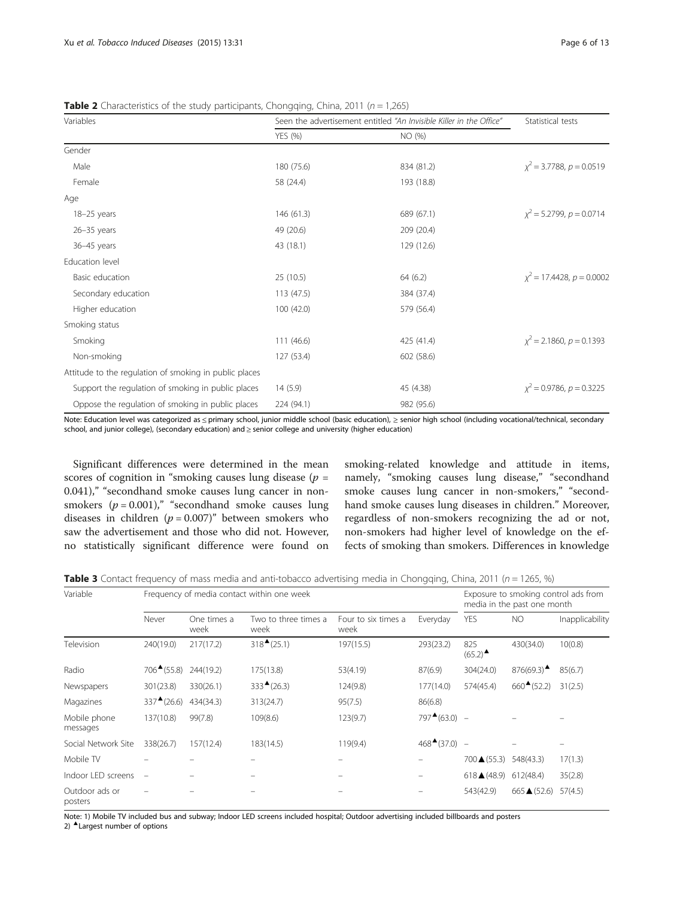| Variables                                              | Seen the advertisement entitled "An Invisible Killer in the Office" | Statistical tests |                                |
|--------------------------------------------------------|---------------------------------------------------------------------|-------------------|--------------------------------|
|                                                        | YES (%)                                                             | NO (%)            |                                |
| Gender                                                 |                                                                     |                   |                                |
| Male                                                   | 180 (75.6)                                                          | 834 (81.2)        | $\chi^2$ = 3.7788, p = 0.0519  |
| Female                                                 | 58 (24.4)                                                           | 193 (18.8)        |                                |
| Age                                                    |                                                                     |                   |                                |
| 18-25 years                                            | 146(61.3)                                                           | 689 (67.1)        | $\chi^2$ = 5.2799, p = 0.0714  |
| $26 - 35$ years                                        | 49 (20.6)                                                           | 209 (20.4)        |                                |
| $36-45$ years                                          | 43 (18.1)                                                           | 129 (12.6)        |                                |
| Education level                                        |                                                                     |                   |                                |
| Basic education                                        | 25(10.5)                                                            | 64(6.2)           | $\chi^2$ = 17.4428, p = 0.0002 |
| Secondary education                                    | 113(47.5)                                                           | 384 (37.4)        |                                |
| Higher education                                       | 100(42.0)                                                           | 579 (56.4)        |                                |
| Smoking status                                         |                                                                     |                   |                                |
| Smoking                                                | 111(46.6)                                                           | 425 (41.4)        | $\chi^2$ = 2.1860, p = 0.1393  |
| Non-smoking                                            | 127 (53.4)                                                          | 602 (58.6)        |                                |
| Attitude to the regulation of smoking in public places |                                                                     |                   |                                |
| Support the regulation of smoking in public places     | 14(5.9)                                                             | 45 (4.38)         | $\chi^2$ = 0.9786, p = 0.3225  |
| Oppose the regulation of smoking in public places      | 224 (94.1)                                                          | 982 (95.6)        |                                |

<span id="page-5-0"></span>**Table 2** Characteristics of the study participants, Chongqing, China, 2011 ( $n = 1,265$ )

Note: Education level was categorized as ≤ primary school, junior middle school (basic education), ≥ senior high school (including vocational/technical, secondary school, and junior college), (secondary education) and ≥ senior college and university (higher education)

Significant differences were determined in the mean scores of cognition in "smoking causes lung disease ( $p =$ 0.041)," "secondhand smoke causes lung cancer in nonsmokers  $(p = 0.001)$ ," "secondhand smoke causes lung diseases in children  $(p = 0.007)^n$  between smokers who saw the advertisement and those who did not. However, no statistically significant difference were found on

smoking-related knowledge and attitude in items, namely, "smoking causes lung disease," "secondhand smoke causes lung cancer in non-smokers," "secondhand smoke causes lung diseases in children." Moreover, regardless of non-smokers recognizing the ad or not, non-smokers had higher level of knowledge on the effects of smoking than smokers. Differences in knowledge

**Table 3** Contact frequency of mass media and anti-tobacco advertising media in Chongqing, China, 2011 ( $n = 1265$ , %)

| Variable                  |                                                | Frequency of media contact within one week |                              |                             |                           |                                                   |                        | Exposure to smoking control ads from<br>media in the past one month |  |  |
|---------------------------|------------------------------------------------|--------------------------------------------|------------------------------|-----------------------------|---------------------------|---------------------------------------------------|------------------------|---------------------------------------------------------------------|--|--|
|                           | Never                                          | One times a<br>week                        | Two to three times a<br>week | Four to six times a<br>week | Everyday                  | <b>YES</b>                                        | <b>NO</b>              | Inapplicability                                                     |  |  |
| Television                | 240(19.0)                                      | 217(17.2)                                  | $318^{\triangle}(25.1)$      | 197(15.5)                   | 293(23.2)                 | 825<br>$(65.2)$ <sup><math>\triangle</math></sup> | 430(34.0)              | 10(0.8)                                                             |  |  |
| Radio                     | $706$ <sup><math>\triangle</math></sup> (55.8) | 244(19.2)                                  | 175(13.8)                    | 53(4.19)                    | 87(6.9)                   | 304(24.0)                                         | 876(69.3)              | 85(6.7)                                                             |  |  |
| Newspapers                | 301(23.8)                                      | 330(26.1)                                  | $333^{\triangle}(26.3)$      | 124(9.8)                    | 177(14.0)                 | 574(45.4)                                         | $660^{\text{A}}(52.2)$ | 31(2.5)                                                             |  |  |
| Magazines                 | $337^{\triangle}(26.6)$                        | 434(34.3)                                  | 313(24.7)                    | 95(7.5)                     | 86(6.8)                   |                                                   |                        |                                                                     |  |  |
| Mobile phone<br>messages  | 137(10.8)                                      | 99(7.8)                                    | 109(8.6)                     | 123(9.7)                    | $797^{\triangle}(63.0)$ - |                                                   |                        |                                                                     |  |  |
| Social Network Site       | 338(26.7)                                      | 157(12.4)                                  | 183(14.5)                    | 119(9.4)                    | $468^{\bullet}(37.0)$ -   |                                                   |                        |                                                                     |  |  |
| Mobile TV                 |                                                |                                            |                              |                             |                           | $700 \triangle (55.3)$                            | 548(43.3)              | 17(1.3)                                                             |  |  |
| Indoor LED screens        | $\overline{\phantom{m}}$                       |                                            |                              |                             |                           | $618 \triangle (48.9)$                            | 612(48.4)              | 35(2.8)                                                             |  |  |
| Outdoor ads or<br>posters |                                                |                                            |                              |                             |                           | 543(42.9)                                         | $665 \triangle (52.6)$ | 57(4.5)                                                             |  |  |

Note: 1) Mobile TV included bus and subway; Indoor LED screens included hospital; Outdoor advertising included billboards and posters

2) ▲Largest number of options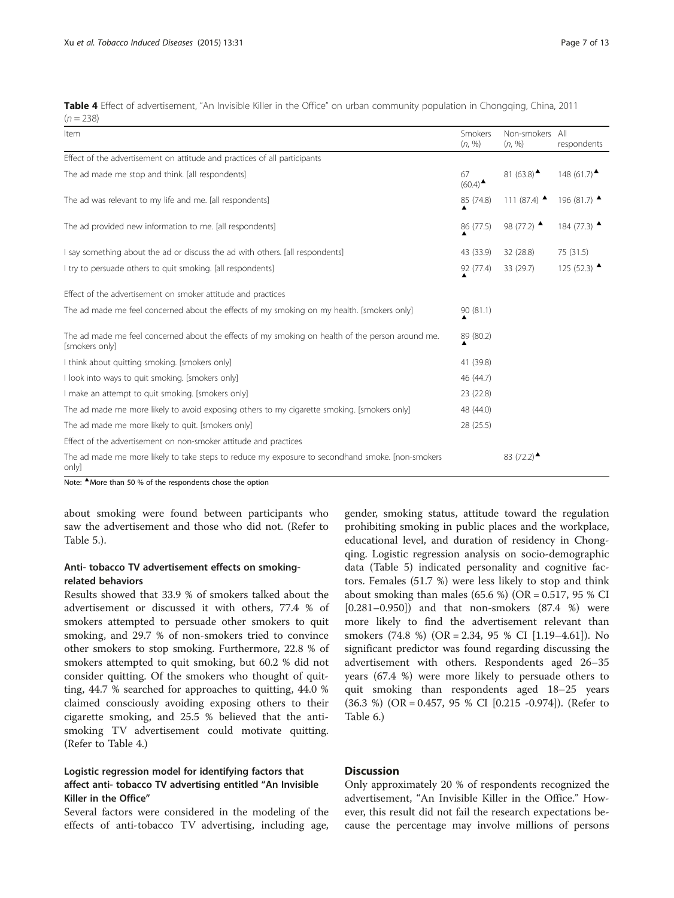<span id="page-6-0"></span>

| Table 4 Effect of advertisement, "An Invisible Killer in the Office" on urban community population in Chongqing, China, 2011 |  |  |  |  |
|------------------------------------------------------------------------------------------------------------------------------|--|--|--|--|
| $(n = 238)$                                                                                                                  |  |  |  |  |

| Item                                                                                                               | Smokers<br>(n, %)                                | Non-smokers<br>(n, %)                         | All<br>respondents      |
|--------------------------------------------------------------------------------------------------------------------|--------------------------------------------------|-----------------------------------------------|-------------------------|
| Effect of the advertisement on attitude and practices of all participants                                          |                                                  |                                               |                         |
| The ad made me stop and think. [all respondents]                                                                   | 67<br>$(60.4)$ <sup><math>\triangle</math></sup> | 81 $(63.8)$ <sup><math>\triangle</math></sup> | 148 (61.7) $\triangleq$ |
| The ad was relevant to my life and me. [all respondents]                                                           | 85 (74.8)                                        | 111 (87.4) $\triangle$                        | 196 (81.7) $\triangle$  |
| The ad provided new information to me. [all respondents]                                                           | 86 (77.5)                                        | 98 $(77.2)$                                   | 184(77.3)               |
| I say something about the ad or discuss the ad with others. [all respondents]                                      | 43 (33.9)                                        | 32 (28.8)                                     | 75 (31.5)               |
| I try to persuade others to quit smoking. [all respondents]                                                        | 92(77.4)                                         | 33 (29.7)                                     | 125(52.3)               |
| Effect of the advertisement on smoker attitude and practices                                                       |                                                  |                                               |                         |
| The ad made me feel concerned about the effects of my smoking on my health. [smokers only]                         | 90(81.1)                                         |                                               |                         |
| The ad made me feel concerned about the effects of my smoking on health of the person around me.<br>[smokers only] | 89 (80.2)                                        |                                               |                         |
| I think about quitting smoking. [smokers only]                                                                     | 41 (39.8)                                        |                                               |                         |
| I look into ways to quit smoking. [smokers only]                                                                   | 46 (44.7)                                        |                                               |                         |
| I make an attempt to quit smoking. [smokers only]                                                                  | 23 (22.8)                                        |                                               |                         |
| The ad made me more likely to avoid exposing others to my cigarette smoking. [smokers only]                        | 48 (44.0)                                        |                                               |                         |
| The ad made me more likely to quit. [smokers only]                                                                 | 28 (25.5)                                        |                                               |                         |
| Effect of the advertisement on non-smoker attitude and practices                                                   |                                                  |                                               |                         |
| The ad made me more likely to take steps to reduce my exposure to secondhand smoke. [non-smokers<br>only]          |                                                  | 83 $(72.2)$                                   |                         |

Note: ▲More than 50 % of the respondents chose the option

about smoking were found between participants who saw the advertisement and those who did not. (Refer to Table [5.](#page-7-0)).

## Anti- tobacco TV advertisement effects on smokingrelated behaviors

Results showed that 33.9 % of smokers talked about the advertisement or discussed it with others, 77.4 % of smokers attempted to persuade other smokers to quit smoking, and 29.7 % of non-smokers tried to convince other smokers to stop smoking. Furthermore, 22.8 % of smokers attempted to quit smoking, but 60.2 % did not consider quitting. Of the smokers who thought of quitting, 44.7 % searched for approaches to quitting, 44.0 % claimed consciously avoiding exposing others to their cigarette smoking, and 25.5 % believed that the antismoking TV advertisement could motivate quitting. (Refer to Table 4.)

## Logistic regression model for identifying factors that affect anti- tobacco TV advertising entitled "An Invisible Killer in the Office"

Several factors were considered in the modeling of the effects of anti-tobacco TV advertising, including age,

gender, smoking status, attitude toward the regulation prohibiting smoking in public places and the workplace, educational level, and duration of residency in Chongqing. Logistic regression analysis on socio-demographic data (Table [5\)](#page-7-0) indicated personality and cognitive factors. Females (51.7 %) were less likely to stop and think about smoking than males  $(65.6 %)$   $(OR = 0.517, 95 %)$  CI  $[0.281 - 0.950]$  and that non-smokers  $(87.4 %)$  were more likely to find the advertisement relevant than smokers (74.8 %) (OR = 2.34, 95 % CI [1.19–4.61]). No significant predictor was found regarding discussing the advertisement with others. Respondents aged 26–35 years (67.4 %) were more likely to persuade others to quit smoking than respondents aged 18–25 years (36.3 %) (OR = 0.457, 95 % CI [0.215 -0.974]). (Refer to Table [6.](#page-8-0))

## **Discussion**

Only approximately 20 % of respondents recognized the advertisement, "An Invisible Killer in the Office." However, this result did not fail the research expectations because the percentage may involve millions of persons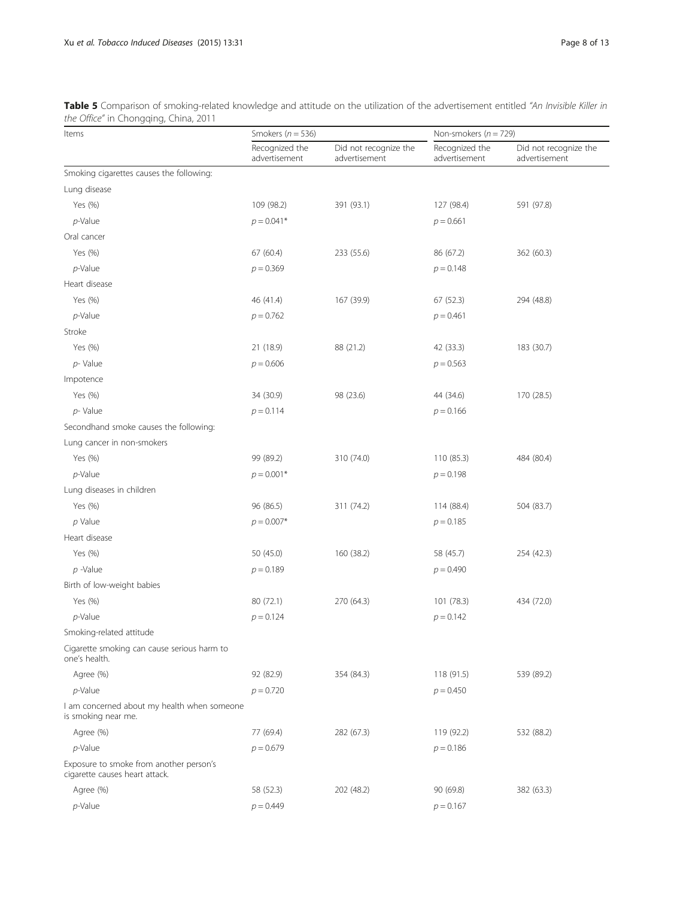<span id="page-7-0"></span>Table 5 Comparison of smoking-related knowledge and attitude on the utilization of the advertisement entitled "An Invisible Killer in the Office" in Chongqing, China, 2011  $\overline{\phantom{a}}$ 

| Items                                                                     | Smokers ( $n = 536$ )           |                                        | Non-smokers ( $n = 729$ )       |                                        |  |
|---------------------------------------------------------------------------|---------------------------------|----------------------------------------|---------------------------------|----------------------------------------|--|
|                                                                           | Recognized the<br>advertisement | Did not recognize the<br>advertisement | Recognized the<br>advertisement | Did not recognize the<br>advertisement |  |
| Smoking cigarettes causes the following:                                  |                                 |                                        |                                 |                                        |  |
| Lung disease                                                              |                                 |                                        |                                 |                                        |  |
| Yes (%)                                                                   | 109 (98.2)                      | 391 (93.1)                             | 127 (98.4)                      | 591 (97.8)                             |  |
| $p$ -Value                                                                | $p = 0.041*$                    |                                        | $p = 0.661$                     |                                        |  |
| Oral cancer                                                               |                                 |                                        |                                 |                                        |  |
| Yes (%)                                                                   | 67 (60.4)                       | 233 (55.6)                             | 86 (67.2)                       | 362 (60.3)                             |  |
| $p$ -Value                                                                | $p = 0.369$                     |                                        | $p = 0.148$                     |                                        |  |
| Heart disease                                                             |                                 |                                        |                                 |                                        |  |
| Yes (%)                                                                   | 46 (41.4)                       | 167 (39.9)                             | 67 (52.3)                       | 294 (48.8)                             |  |
| $p$ -Value                                                                | $p = 0.762$                     |                                        | $p = 0.461$                     |                                        |  |
| Stroke                                                                    |                                 |                                        |                                 |                                        |  |
| Yes (%)                                                                   | 21 (18.9)                       | 88 (21.2)                              | 42 (33.3)                       | 183 (30.7)                             |  |
| $p$ - Value                                                               | $p = 0.606$                     |                                        | $p = 0.563$                     |                                        |  |
| Impotence                                                                 |                                 |                                        |                                 |                                        |  |
| Yes (%)                                                                   | 34 (30.9)                       | 98 (23.6)                              | 44 (34.6)                       | 170 (28.5)                             |  |
| $p$ - Value                                                               | $p = 0.114$                     |                                        | $p = 0.166$                     |                                        |  |
| Secondhand smoke causes the following:                                    |                                 |                                        |                                 |                                        |  |
| Lung cancer in non-smokers                                                |                                 |                                        |                                 |                                        |  |
| Yes (%)                                                                   | 99 (89.2)                       | 310 (74.0)                             | 110 (85.3)                      | 484 (80.4)                             |  |
| $p$ -Value                                                                | $p = 0.001*$                    |                                        | $p = 0.198$                     |                                        |  |
| Lung diseases in children                                                 |                                 |                                        |                                 |                                        |  |
| Yes (%)                                                                   | 96 (86.5)                       | 311 (74.2)                             | 114 (88.4)                      | 504 (83.7)                             |  |
| $p$ Value                                                                 | $p = 0.007*$                    |                                        | $p = 0.185$                     |                                        |  |
| Heart disease                                                             |                                 |                                        |                                 |                                        |  |
| Yes (%)                                                                   | 50 (45.0)                       | 160 (38.2)                             | 58 (45.7)                       | 254 (42.3)                             |  |
| $p$ -Value                                                                | $p = 0.189$                     |                                        | $p = 0.490$                     |                                        |  |
| Birth of low-weight babies                                                |                                 |                                        |                                 |                                        |  |
| Yes (%)                                                                   | 80 (72.1)                       | 270 (64.3)                             | 101 (78.3)                      | 434 (72.0)                             |  |
| $p$ -Value                                                                | $p = 0.124$                     |                                        | $p = 0.142$                     |                                        |  |
| Smoking-related attitude                                                  |                                 |                                        |                                 |                                        |  |
| Cigarette smoking can cause serious harm to<br>one's health.              |                                 |                                        |                                 |                                        |  |
| Agree (%)                                                                 | 92 (82.9)                       | 354 (84.3)                             | 118 (91.5)                      | 539 (89.2)                             |  |
| $p$ -Value                                                                | $p = 0.720$                     |                                        | $p = 0.450$                     |                                        |  |
| I am concerned about my health when someone<br>is smoking near me.        |                                 |                                        |                                 |                                        |  |
| Agree (%)                                                                 | 77 (69.4)                       | 282 (67.3)                             | 119 (92.2)                      | 532 (88.2)                             |  |
| $p$ -Value                                                                | $p = 0.679$                     |                                        | $p = 0.186$                     |                                        |  |
| Exposure to smoke from another person's<br>cigarette causes heart attack. |                                 |                                        |                                 |                                        |  |
| Agree (%)                                                                 | 58 (52.3)                       | 202 (48.2)                             | 90 (69.8)                       | 382 (63.3)                             |  |
| $p$ -Value                                                                | $p = 0.449$                     |                                        | $p = 0.167$                     |                                        |  |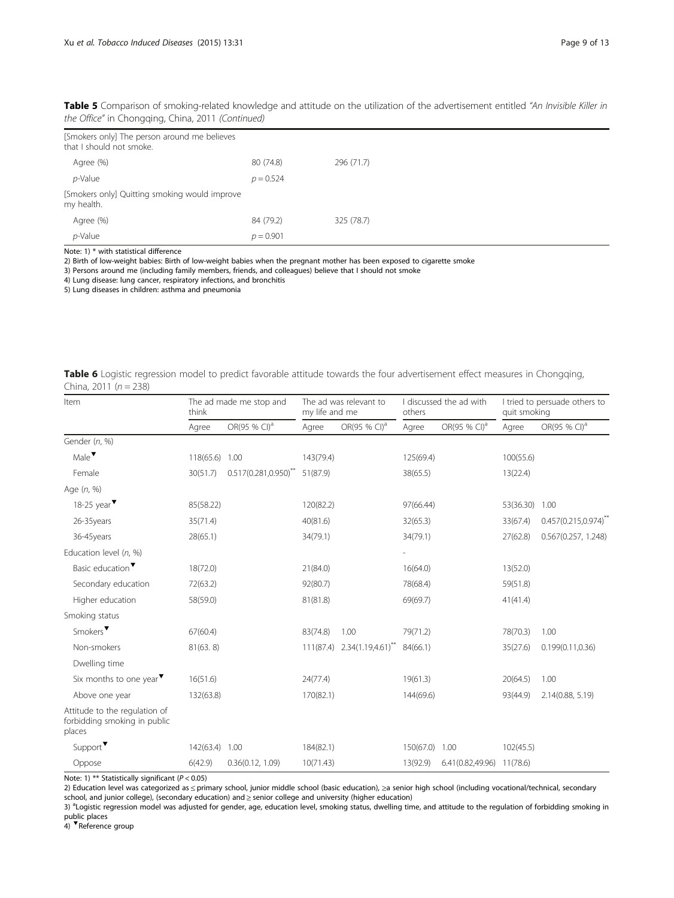<span id="page-8-0"></span>

| Table 5 Comparison of smoking-related knowledge and attitude on the utilization of the advertisement entitled "An Invisible Killer in |  |
|---------------------------------------------------------------------------------------------------------------------------------------|--|
| the Office" in Chongqing, China, 2011 (Continued)                                                                                     |  |

| [Smokers only] The person around me believes<br>that I should not smoke. |             |            |
|--------------------------------------------------------------------------|-------------|------------|
| Agree (%)                                                                | 80 (74.8)   | 296 (71.7) |
| $p$ -Value                                                               | $p = 0.524$ |            |
| [Smokers only] Quitting smoking would improve<br>my health.              |             |            |
| Agree (%)                                                                | 84 (79.2)   | 325 (78.7) |
| $p$ -Value                                                               | $p = 0.901$ |            |

Note: 1) \* with statistical difference

2) Birth of low-weight babies: Birth of low-weight babies when the pregnant mother has been exposed to cigarette smoke

3) Persons around me (including family members, friends, and colleagues) believe that I should not smoke

4) Lung disease: lung cancer, respiratory infections, and bronchitis

5) Lung diseases in children: asthma and pneumonia

| Table 6 Logistic regression model to predict favorable attitude towards the four advertisement effect measures in Chongqing, |  |  |
|------------------------------------------------------------------------------------------------------------------------------|--|--|
| China, 2011 ( $n = 238$ )                                                                                                    |  |  |

| Item                                                                    | The ad made me stop and<br>think |                          | The ad was relevant to<br>my life and me |                                     | I discussed the ad with<br>others |                           | I tried to persuade others to<br>quit smoking |                            |
|-------------------------------------------------------------------------|----------------------------------|--------------------------|------------------------------------------|-------------------------------------|-----------------------------------|---------------------------|-----------------------------------------------|----------------------------|
|                                                                         | Agree                            | OR(95 % CI) <sup>a</sup> | Agree                                    | OR(95 % CI) <sup>a</sup>            | Agree                             | OR(95 % CI) <sup>a</sup>  | Agree                                         | OR(95 % CI) <sup>a</sup>   |
| Gender (n, %)                                                           |                                  |                          |                                          |                                     |                                   |                           |                                               |                            |
| $Male^{\blacktriangledown}$                                             | 118(65.6) 1.00                   |                          | 143(79.4)                                |                                     | 125(69.4)                         |                           | 100(55.6)                                     |                            |
| Female                                                                  | 30(51.7)                         | $0.517(0.281, 0.950)$ ** | 51(87.9)                                 |                                     | 38(65.5)                          |                           | 13(22.4)                                      |                            |
| Age (n, %)                                                              |                                  |                          |                                          |                                     |                                   |                           |                                               |                            |
| 18-25 year                                                              | 85(58.22)                        |                          | 120(82.2)                                |                                     | 97(66.44)                         |                           | 53(36.30) 1.00                                |                            |
| 26-35years                                                              | 35(71.4)                         |                          | 40(81.6)                                 |                                     | 32(65.3)                          |                           | 33(67.4)                                      | $0.457(0.215, 0.974)^{**}$ |
| 36-45years                                                              | 28(65.1)                         |                          | 34(79.1)                                 |                                     | 34(79.1)                          |                           | 27(62.8)                                      | 0.567(0.257, 1.248)        |
| Education level (n, %)                                                  |                                  |                          |                                          |                                     |                                   |                           |                                               |                            |
| Basic education $\blacktriangledown$                                    | 18(72.0)                         |                          | 21(84.0)                                 |                                     | 16(64.0)                          |                           | 13(52.0)                                      |                            |
| Secondary education                                                     | 72(63.2)                         |                          | 92(80.7)                                 |                                     | 78(68.4)                          |                           | 59(51.8)                                      |                            |
| Higher education                                                        | 58(59.0)                         |                          | 81(81.8)                                 |                                     | 69(69.7)                          |                           | 41(41.4)                                      |                            |
| Smoking status                                                          |                                  |                          |                                          |                                     |                                   |                           |                                               |                            |
| Smokers <sup>V</sup>                                                    | 67(60.4)                         |                          | 83(74.8)                                 | 1.00                                | 79(71.2)                          |                           | 78(70.3)                                      | 1.00                       |
| Non-smokers                                                             | 81(63.8)                         |                          |                                          | $111(87.4)$ 2.34 $(1.19,4.61)^{**}$ | 84(66.1)                          |                           | 35(27.6)                                      | 0.199(0.11, 0.36)          |
| Dwelling time                                                           |                                  |                          |                                          |                                     |                                   |                           |                                               |                            |
| Six months to one year                                                  | 16(51.6)                         |                          | 24(77.4)                                 |                                     | 19(61.3)                          |                           | 20(64.5)                                      | 1.00                       |
| Above one year                                                          | 132(63.8)                        |                          | 170(82.1)                                |                                     | 144(69.6)                         |                           | 93(44.9)                                      | 2.14(0.88, 5.19)           |
| Attitude to the regulation of<br>forbidding smoking in public<br>places |                                  |                          |                                          |                                     |                                   |                           |                                               |                            |
| $\mathsf{Support}^\blacktriangledown$                                   | 142(63.4) 1.00                   |                          | 184(82.1)                                |                                     | 150(67.0) 1.00                    |                           | 102(45.5)                                     |                            |
| Oppose                                                                  | 6(42.9)                          | 0.36(0.12, 1.09)         | 10(71.43)                                |                                     | 13(92.9)                          | 6.41(0.82,49.96) 11(78.6) |                                               |                            |

Note: 1) \*\* Statistically significant ( $P < 0.05$ )

2) Education level was categorized as ≤ primary school, junior middle school (basic education), ≥a senior high school (including vocational/technical, secondary school, and junior college), (secondary education) and ≥ senior college and university (higher education)

3) <sup>a</sup>Logistic regression model was adjusted for gender, age, education level, smoking status, dwelling time, and attitude to the regulation of forbidding smoking in public places

4) ▼Reference group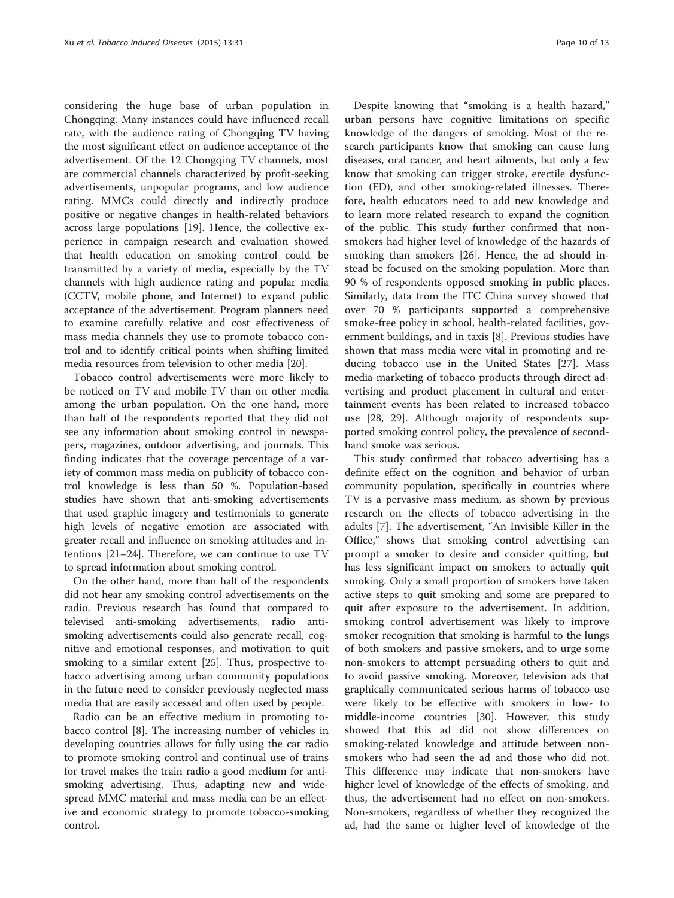considering the huge base of urban population in Chongqing. Many instances could have influenced recall rate, with the audience rating of Chongqing TV having the most significant effect on audience acceptance of the advertisement. Of the 12 Chongqing TV channels, most are commercial channels characterized by profit-seeking advertisements, unpopular programs, and low audience rating. MMCs could directly and indirectly produce positive or negative changes in health-related behaviors across large populations [[19\]](#page-12-0). Hence, the collective experience in campaign research and evaluation showed that health education on smoking control could be transmitted by a variety of media, especially by the TV channels with high audience rating and popular media (CCTV, mobile phone, and Internet) to expand public acceptance of the advertisement. Program planners need to examine carefully relative and cost effectiveness of mass media channels they use to promote tobacco control and to identify critical points when shifting limited media resources from television to other media [[20\]](#page-12-0).

Tobacco control advertisements were more likely to be noticed on TV and mobile TV than on other media among the urban population. On the one hand, more than half of the respondents reported that they did not see any information about smoking control in newspapers, magazines, outdoor advertising, and journals. This finding indicates that the coverage percentage of a variety of common mass media on publicity of tobacco control knowledge is less than 50 %. Population-based studies have shown that anti-smoking advertisements that used graphic imagery and testimonials to generate high levels of negative emotion are associated with greater recall and influence on smoking attitudes and intentions [\[21](#page-12-0)–[24\]](#page-12-0). Therefore, we can continue to use TV to spread information about smoking control.

On the other hand, more than half of the respondents did not hear any smoking control advertisements on the radio. Previous research has found that compared to televised anti-smoking advertisements, radio antismoking advertisements could also generate recall, cognitive and emotional responses, and motivation to quit smoking to a similar extent [\[25](#page-12-0)]. Thus, prospective tobacco advertising among urban community populations in the future need to consider previously neglected mass media that are easily accessed and often used by people.

Radio can be an effective medium in promoting tobacco control [\[8](#page-11-0)]. The increasing number of vehicles in developing countries allows for fully using the car radio to promote smoking control and continual use of trains for travel makes the train radio a good medium for antismoking advertising. Thus, adapting new and widespread MMC material and mass media can be an effective and economic strategy to promote tobacco-smoking control.

Despite knowing that "smoking is a health hazard," urban persons have cognitive limitations on specific knowledge of the dangers of smoking. Most of the research participants know that smoking can cause lung diseases, oral cancer, and heart ailments, but only a few know that smoking can trigger stroke, erectile dysfunction (ED), and other smoking-related illnesses. Therefore, health educators need to add new knowledge and to learn more related research to expand the cognition of the public. This study further confirmed that nonsmokers had higher level of knowledge of the hazards of smoking than smokers [\[26](#page-12-0)]. Hence, the ad should instead be focused on the smoking population. More than 90 % of respondents opposed smoking in public places. Similarly, data from the ITC China survey showed that over 70 % participants supported a comprehensive smoke-free policy in school, health-related facilities, government buildings, and in taxis [\[8](#page-11-0)]. Previous studies have shown that mass media were vital in promoting and reducing tobacco use in the United States [\[27\]](#page-12-0). Mass media marketing of tobacco products through direct advertising and product placement in cultural and entertainment events has been related to increased tobacco use [\[28](#page-12-0), [29](#page-12-0)]. Although majority of respondents supported smoking control policy, the prevalence of secondhand smoke was serious.

This study confirmed that tobacco advertising has a definite effect on the cognition and behavior of urban community population, specifically in countries where TV is a pervasive mass medium, as shown by previous research on the effects of tobacco advertising in the adults [[7\]](#page-11-0). The advertisement, "An Invisible Killer in the Office," shows that smoking control advertising can prompt a smoker to desire and consider quitting, but has less significant impact on smokers to actually quit smoking. Only a small proportion of smokers have taken active steps to quit smoking and some are prepared to quit after exposure to the advertisement. In addition, smoking control advertisement was likely to improve smoker recognition that smoking is harmful to the lungs of both smokers and passive smokers, and to urge some non-smokers to attempt persuading others to quit and to avoid passive smoking. Moreover, television ads that graphically communicated serious harms of tobacco use were likely to be effective with smokers in low- to middle-income countries [\[30\]](#page-12-0). However, this study showed that this ad did not show differences on smoking-related knowledge and attitude between nonsmokers who had seen the ad and those who did not. This difference may indicate that non-smokers have higher level of knowledge of the effects of smoking, and thus, the advertisement had no effect on non-smokers. Non-smokers, regardless of whether they recognized the ad, had the same or higher level of knowledge of the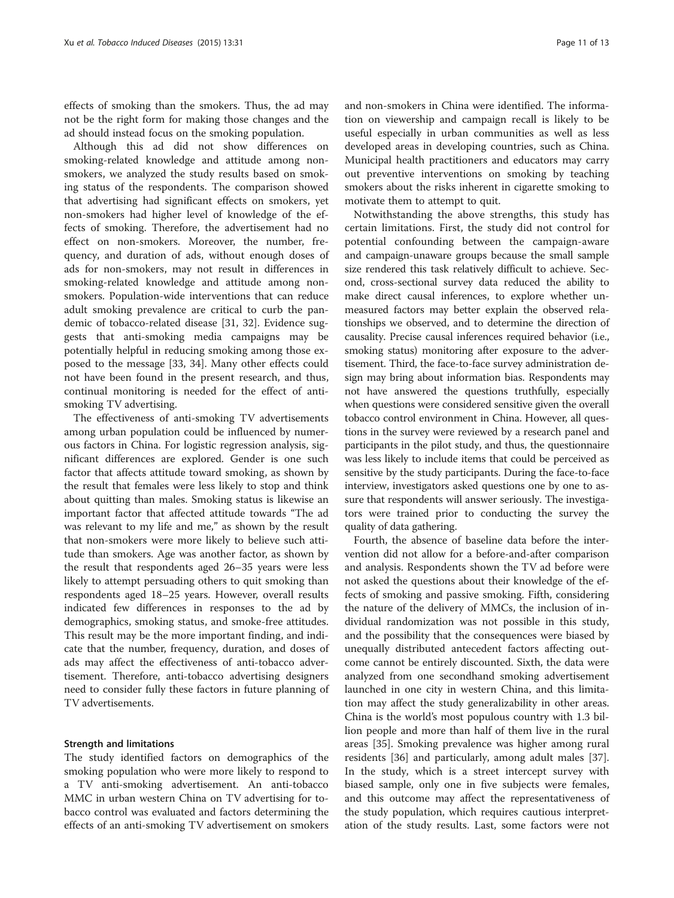effects of smoking than the smokers. Thus, the ad may not be the right form for making those changes and the ad should instead focus on the smoking population.

Although this ad did not show differences on smoking-related knowledge and attitude among nonsmokers, we analyzed the study results based on smoking status of the respondents. The comparison showed that advertising had significant effects on smokers, yet non-smokers had higher level of knowledge of the effects of smoking. Therefore, the advertisement had no effect on non-smokers. Moreover, the number, frequency, and duration of ads, without enough doses of ads for non-smokers, may not result in differences in smoking-related knowledge and attitude among nonsmokers. Population-wide interventions that can reduce adult smoking prevalence are critical to curb the pandemic of tobacco-related disease [[31, 32](#page-12-0)]. Evidence suggests that anti-smoking media campaigns may be potentially helpful in reducing smoking among those exposed to the message [\[33](#page-12-0), [34\]](#page-12-0). Many other effects could not have been found in the present research, and thus, continual monitoring is needed for the effect of antismoking TV advertising.

The effectiveness of anti-smoking TV advertisements among urban population could be influenced by numerous factors in China. For logistic regression analysis, significant differences are explored. Gender is one such factor that affects attitude toward smoking, as shown by the result that females were less likely to stop and think about quitting than males. Smoking status is likewise an important factor that affected attitude towards "The ad was relevant to my life and me," as shown by the result that non-smokers were more likely to believe such attitude than smokers. Age was another factor, as shown by the result that respondents aged 26–35 years were less likely to attempt persuading others to quit smoking than respondents aged 18–25 years. However, overall results indicated few differences in responses to the ad by demographics, smoking status, and smoke-free attitudes. This result may be the more important finding, and indicate that the number, frequency, duration, and doses of ads may affect the effectiveness of anti-tobacco advertisement. Therefore, anti-tobacco advertising designers need to consider fully these factors in future planning of TV advertisements.

#### Strength and limitations

The study identified factors on demographics of the smoking population who were more likely to respond to a TV anti-smoking advertisement. An anti-tobacco MMC in urban western China on TV advertising for tobacco control was evaluated and factors determining the effects of an anti-smoking TV advertisement on smokers and non-smokers in China were identified. The information on viewership and campaign recall is likely to be useful especially in urban communities as well as less developed areas in developing countries, such as China. Municipal health practitioners and educators may carry out preventive interventions on smoking by teaching smokers about the risks inherent in cigarette smoking to motivate them to attempt to quit.

Notwithstanding the above strengths, this study has certain limitations. First, the study did not control for potential confounding between the campaign-aware and campaign-unaware groups because the small sample size rendered this task relatively difficult to achieve. Second, cross-sectional survey data reduced the ability to make direct causal inferences, to explore whether unmeasured factors may better explain the observed relationships we observed, and to determine the direction of causality. Precise causal inferences required behavior (i.e., smoking status) monitoring after exposure to the advertisement. Third, the face-to-face survey administration design may bring about information bias. Respondents may not have answered the questions truthfully, especially when questions were considered sensitive given the overall tobacco control environment in China. However, all questions in the survey were reviewed by a research panel and participants in the pilot study, and thus, the questionnaire was less likely to include items that could be perceived as sensitive by the study participants. During the face-to-face interview, investigators asked questions one by one to assure that respondents will answer seriously. The investigators were trained prior to conducting the survey the quality of data gathering.

Fourth, the absence of baseline data before the intervention did not allow for a before-and-after comparison and analysis. Respondents shown the TV ad before were not asked the questions about their knowledge of the effects of smoking and passive smoking. Fifth, considering the nature of the delivery of MMCs, the inclusion of individual randomization was not possible in this study, and the possibility that the consequences were biased by unequally distributed antecedent factors affecting outcome cannot be entirely discounted. Sixth, the data were analyzed from one secondhand smoking advertisement launched in one city in western China, and this limitation may affect the study generalizability in other areas. China is the world's most populous country with 1.3 billion people and more than half of them live in the rural areas [[35](#page-12-0)]. Smoking prevalence was higher among rural residents [\[36](#page-12-0)] and particularly, among adult males [\[37](#page-12-0)]. In the study, which is a street intercept survey with biased sample, only one in five subjects were females, and this outcome may affect the representativeness of the study population, which requires cautious interpretation of the study results. Last, some factors were not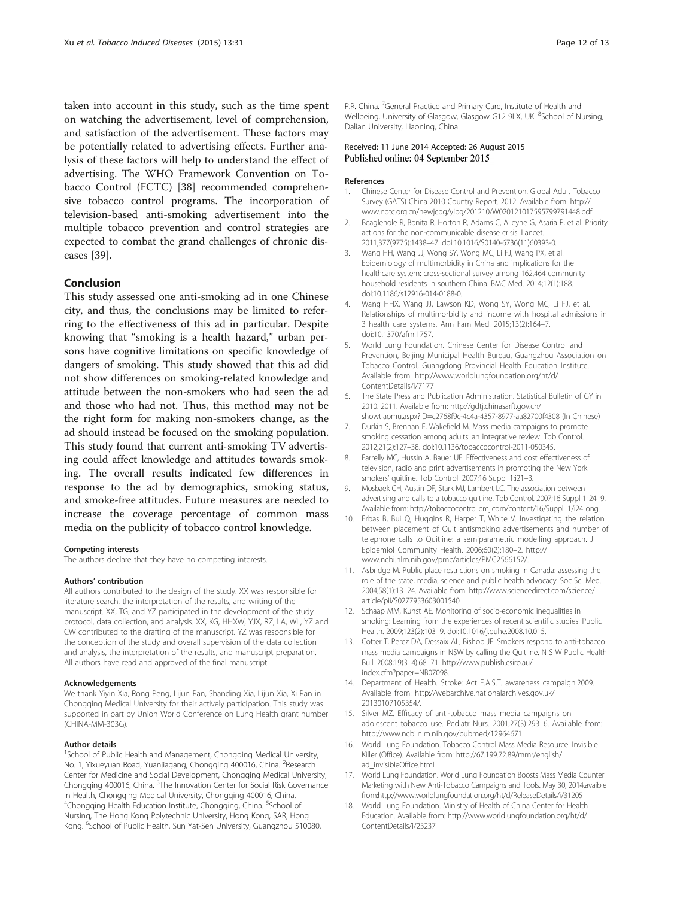<span id="page-11-0"></span>taken into account in this study, such as the time spent on watching the advertisement, level of comprehension, and satisfaction of the advertisement. These factors may be potentially related to advertising effects. Further analysis of these factors will help to understand the effect of advertising. The WHO Framework Convention on Tobacco Control (FCTC) [\[38\]](#page-12-0) recommended comprehensive tobacco control programs. The incorporation of television-based anti-smoking advertisement into the multiple tobacco prevention and control strategies are expected to combat the grand challenges of chronic diseases [[39](#page-12-0)].

#### Conclusion

This study assessed one anti-smoking ad in one Chinese city, and thus, the conclusions may be limited to referring to the effectiveness of this ad in particular. Despite knowing that "smoking is a health hazard," urban persons have cognitive limitations on specific knowledge of dangers of smoking. This study showed that this ad did not show differences on smoking-related knowledge and attitude between the non-smokers who had seen the ad and those who had not. Thus, this method may not be the right form for making non-smokers change, as the ad should instead be focused on the smoking population. This study found that current anti-smoking TV advertising could affect knowledge and attitudes towards smoking. The overall results indicated few differences in response to the ad by demographics, smoking status, and smoke-free attitudes. Future measures are needed to increase the coverage percentage of common mass media on the publicity of tobacco control knowledge.

#### Competing interests

The authors declare that they have no competing interests.

#### Authors' contribution

All authors contributed to the design of the study. XX was responsible for literature search, the interpretation of the results, and writing of the manuscript. XX, TG, and YZ participated in the development of the study protocol, data collection, and analysis. XX, KG, HHXW, YJX, RZ, LA, WL, YZ and CW contributed to the drafting of the manuscript. YZ was responsible for the conception of the study and overall supervision of the data collection and analysis, the interpretation of the results, and manuscript preparation. All authors have read and approved of the final manuscript.

#### Acknowledgements

We thank Yiyin Xia, Rong Peng, Lijun Ran, Shanding Xia, Lijun Xia, Xi Ran in Chongqing Medical University for their actively participation. This study was supported in part by Union World Conference on Lung Health grant number (CHINA-MM-303G).

#### Author details

<sup>1</sup>School of Public Health and Management, Chongqing Medical University, No. 1, Yixueyuan Road, Yuanjiagang, Chongqing 400016, China. <sup>2</sup>Research Center for Medicine and Social Development, Chongqing Medical University, Chongqing 400016, China. <sup>3</sup>The Innovation Center for Social Risk Governance in Health, Chongqing Medical University, Chongqing 400016, China. <sup>4</sup>Chongqing Health Education Institute, Chongqing, China. <sup>5</sup>School of Nursing, The Hong Kong Polytechnic University, Hong Kong, SAR, Hong Kong. <sup>6</sup>School of Public Health, Sun Yat-Sen University, Guangzhou 510080,

P.R. China. <sup>7</sup> General Practice and Primary Care, Institute of Health and Wellbeing, University of Glasgow, Glasgow G12 9LX, UK. <sup>8</sup>School of Nursing, Dalian University, Liaoning, China.

#### Received: 11 June 2014 Accepted: 26 August 2015 Published online: 04 September 2015

#### References

- 1. Chinese Center for Disease Control and Prevention. Global Adult Tobacco Survey (GATS) China 2010 Country Report. 2012. Available from: [http://](http://www.notc.org.cn/newjcpg/yjbg/201210/W020121017595799791448.pdf) [www.notc.org.cn/newjcpg/yjbg/201210/W020121017595799791448.pdf](http://www.notc.org.cn/newjcpg/yjbg/201210/W020121017595799791448.pdf)
- 2. Beaglehole R, Bonita R, Horton R, Adams C, Alleyne G, Asaria P, et al. Priority actions for the non-communicable disease crisis. Lancet. 2011;377(9775):1438–47. doi[:10.1016/S0140-6736\(11\)60393-0.](http://dx.doi.org/10.1016/S0140-6736(11)60393-0)
- 3. Wang HH, Wang JJ, Wong SY, Wong MC, Li FJ, Wang PX, et al. Epidemiology of multimorbidity in China and implications for the healthcare system: cross-sectional survey among 162,464 community household residents in southern China. BMC Med. 2014;12(1):188. doi[:10.1186/s12916-014-0188-0](http://dx.doi.org/10.1186/s12916-014-0188-0).
- 4. Wang HHX, Wang JJ, Lawson KD, Wong SY, Wong MC, Li FJ, et al. Relationships of multimorbidity and income with hospital admissions in 3 health care systems. Ann Fam Med. 2015;13(2):164–7. doi[:10.1370/afm.1757.](http://dx.doi.org/10.1370/afm.1757)
- 5. World Lung Foundation. Chinese Center for Disease Control and Prevention, Beijing Municipal Health Bureau, Guangzhou Association on Tobacco Control, Guangdong Provincial Health Education Institute. Available from: [http://www.worldlungfoundation.org/ht/d/](http://www.worldlungfoundation.org/ht/d/ContentDetails/i/7177) [ContentDetails/i/7177](http://www.worldlungfoundation.org/ht/d/ContentDetails/i/7177)
- 6. The State Press and Publication Administration. Statistical Bulletin of GY in 2010. 2011. Available from: [http://gdtj.chinasarft.gov.cn/](http://gdtj.chinasarft.gov.cn/showtiaomu.aspx?ID=c2768f9c-4c4a-4357-8977-aa82700f4308) [showtiaomu.aspx?ID=c2768f9c-4c4a-4357-8977-aa82700f4308](http://gdtj.chinasarft.gov.cn/showtiaomu.aspx?ID=c2768f9c-4c4a-4357-8977-aa82700f4308) (In Chinese)
- 7. Durkin S, Brennan E, Wakefield M. Mass media campaigns to promote smoking cessation among adults: an integrative review. Tob Control. 2012;21(2):127–38. doi:[10.1136/tobaccocontrol-2011-050345.](http://dx.doi.org/10.1136/tobaccocontrol-2011-050345)
- Farrelly MC, Hussin A, Bauer UE. Effectiveness and cost effectiveness of television, radio and print advertisements in promoting the New York smokers' quitline. Tob Control. 2007;16 Suppl 1:i21–3.
- 9. Mosbaek CH, Austin DF, Stark MJ, Lambert LC. The association between advertising and calls to a tobacco quitline. Tob Control. 2007;16 Suppl 1:i24–9. Available from: [http://tobaccocontrol.bmj.com/content/16/Suppl\\_1/i24.long](http://tobaccocontrol.bmj.com/content/16/Suppl_1/i24.long).
- 10. Erbas B, Bui Q, Huggins R, Harper T, White V. Investigating the relation between placement of Quit antismoking advertisements and number of telephone calls to Quitline: a semiparametric modelling approach. J Epidemiol Community Health. 2006;60(2):180–2. [http://](http://www.ncbi.nlm.nih.gov/pmc/articles/PMC2566152/) [www.ncbi.nlm.nih.gov/pmc/articles/PMC2566152/](http://www.ncbi.nlm.nih.gov/pmc/articles/PMC2566152/).
- 11. Asbridge M. Public place restrictions on smoking in Canada: assessing the role of the state, media, science and public health advocacy. Soc Sci Med. 2004;58(1):13–24. Available from: [http://www.sciencedirect.com/science/](http://www.sciencedirect.com/science/article/pii/S0277953603001540) [article/pii/S0277953603001540](http://www.sciencedirect.com/science/article/pii/S0277953603001540).
- 12. Schaap MM, Kunst AE. Monitoring of socio-economic inequalities in smoking: Learning from the experiences of recent scientific studies. Public Health. 2009;123(2):103–9. doi:[10.1016/j.puhe.2008.10.015.](http://dx.doi.org/10.1016/j.puhe.2008.10.015)
- 13. Cotter T, Perez DA, Dessaix AL, Bishop JF. Smokers respond to anti-tobacco mass media campaigns in NSW by calling the Quitline. N S W Public Health Bull. 2008;19(3–4):68–71. [http://www.publish.csiro.au/](http://www.publish.csiro.au/index.cfm?paper=NB07098) [index.cfm?paper=NB07098.](http://www.publish.csiro.au/index.cfm?paper=NB07098)
- 14. Department of Health. Stroke: Act F.A.S.T. awareness campaign.2009. Available from: [http://webarchive.nationalarchives.gov.uk/](http://webarchive.nationalarchives.gov.uk/20130107105354/) [20130107105354/](http://webarchive.nationalarchives.gov.uk/20130107105354/).
- 15. Silver MZ. Efficacy of anti-tobacco mass media campaigns on adolescent tobacco use. Pediatr Nurs. 2001;27(3):293–6. Available from: [http://www.ncbi.nlm.nih.gov/pubmed/12964671.](http://www.ncbi.nlm.nih.gov/pubmed/12964671)
- 16. World Lung Foundation. Tobacco Control Mass Media Resource. Invisible Killer (Office). Available from: [http://67.199.72.89/mmr/english/](http://67.199.72.89/mmr/english/ad_invisibleOffice.html) [ad\\_invisibleOffice.html](http://67.199.72.89/mmr/english/ad_invisibleOffice.html)
- 17. World Lung Foundation. World Lung Foundation Boosts Mass Media Counter Marketing with New Anti-Tobacco Campaigns and Tools. May 30, 2014.avaible from[:http://www.worldlungfoundation.org/ht/d/ReleaseDetails/i/31205](http://www.worldlungfoundation.org/ht/d/ReleaseDetails/i/31205)
- 18. World Lung Foundation. Ministry of Health of China Center for Health Education. Available from: [http://www.worldlungfoundation.org/ht/d/](http://www.worldlungfoundation.org/ht/d/ContentDetails/i/23237) [ContentDetails/i/23237](http://www.worldlungfoundation.org/ht/d/ContentDetails/i/23237)